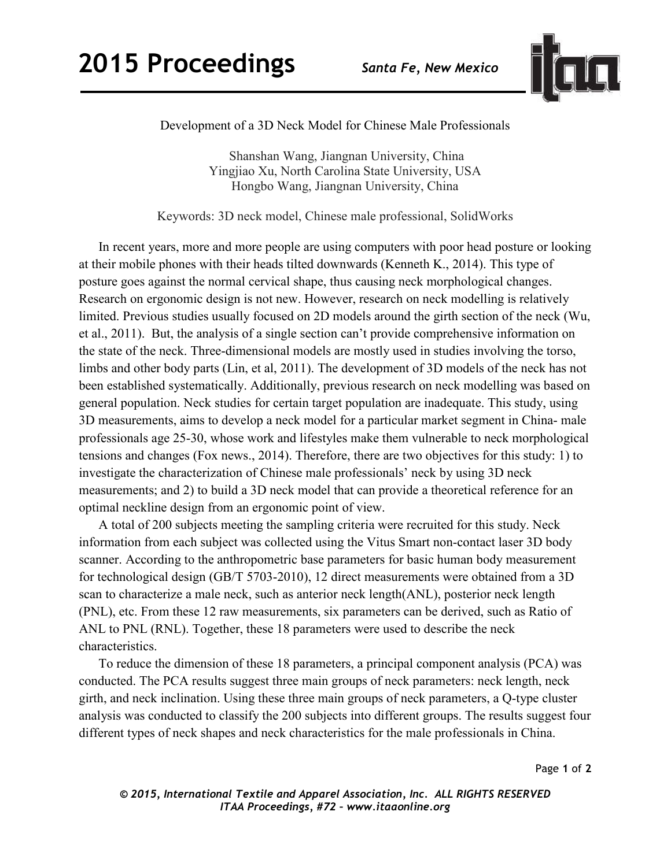

Development of a 3D Neck Model for Chinese Male Professionals

 Shanshan Wang, Jiangnan University, China Yingjiao Xu, North Carolina State University, USA Hongbo Wang, Jiangnan University, China

Keywords: 3D neck model, Chinese male professional, SolidWorks

In recent years, more and more people are using computers with poor head posture or looking at their mobile phones with their heads tilted downwards (Kenneth K., 2014). This type of posture goes against the normal cervical shape, thus causing neck morphological changes. Research on ergonomic design is not new. However, research on neck modelling is relatively limited. Previous studies usually focused on 2D models around the girth section of the neck (Wu, et al., 2011). But, the analysis of a single section can't provide comprehensive information on the state of the neck. Three-dimensional models are mostly used in studies involving the torso, limbs and other body parts (Lin, et al, 2011). The development of 3D models of the neck has not been established systematically. Additionally, previous research on neck modelling was based on general population. Neck studies for certain target population are inadequate. This study, using 3D measurements, aims to develop a neck model for a particular market segment in China- male professionals age 25-30, whose work and lifestyles make them vulnerable to neck morphological tensions and changes (Fox news., 2014). Therefore, there are two objectives for this study: 1) to investigate the characterization of Chinese male professionals' neck by using 3D neck measurements; and 2) to build a 3D neck model that can provide a theoretical reference for an optimal neckline design from an ergonomic point of view.

A total of 200 subjects meeting the sampling criteria were recruited for this study. Neck information from each subject was collected using the Vitus Smart non-contact laser 3D body scanner. According to the anthropometric base parameters for basic human body measurement for technological design (GB/T 5703-2010), 12 direct measurements were obtained from a 3D scan to characterize a male neck, such as anterior neck length(ANL), posterior neck length (PNL), etc. From these 12 raw measurements, six parameters can be derived, such as Ratio of ANL to PNL (RNL). Together, these 18 parameters were used to describe the neck characteristics.

 To reduce the dimension of these 18 parameters, a principal component analysis (PCA) was conducted. The PCA results suggest three main groups of neck parameters: neck length, neck girth, and neck inclination. Using these three main groups of neck parameters, a Q-type cluster analysis was conducted to classify the 200 subjects into different groups. The results suggest four different types of neck shapes and neck characteristics for the male professionals in China.

Page **1** of **2**